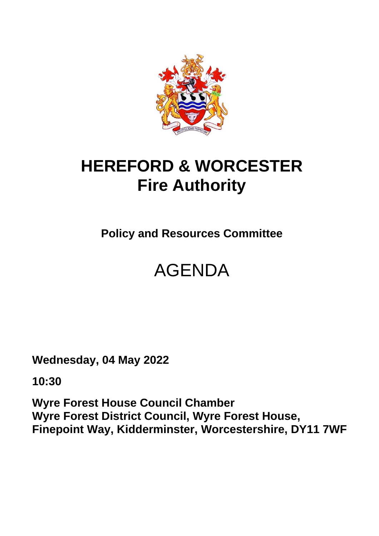

## **HEREFORD & WORCESTER Fire Authority**

**Policy and Resources Committee**

# AGENDA

**Wednesday, 04 May 2022**

**10:30**

**Wyre Forest House Council Chamber Wyre Forest District Council, Wyre Forest House, Finepoint Way, Kidderminster, Worcestershire, DY11 7WF**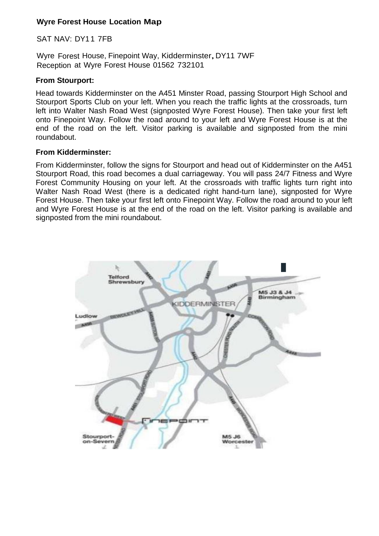#### **Wyre Forest House Location Map**

#### SAT NAV: DY11 7FB

Wyre Forest House, Finepoint Way, Kidderminster,DY11 7WF Reception at Wyre Forest House 01562 732101

#### **From Stourport:**

Head towards Kidderminster on the A451 Minster Road, passing Stourport High School and Stourport Sports Club on your left. When you reach the traffic lights at the crossroads, turn left into Walter Nash Road West (signposted Wyre Forest House). Then take your first left onto Finepoint Way. Follow the road around to your left and Wyre Forest House is at the end of the road on the left. Visitor parking is available and signposted from the mini roundabout.

#### **From Kidderminster:**

From Kidderminster, follow the signs for Stourport and head out of Kidderminster on the A451 Stourport Road, this road becomes a dual carriageway. You will pass 24/7 Fitness and Wyre Forest Community Housing on your left. At the crossroads with traffic lights turn right into Walter Nash Road West (there is a dedicated right hand-turn lane), signposted for Wyre Forest House. Then take your first left onto Finepoint Way. Follow the road around to your left and Wyre Forest House is at the end of the road on the left. Visitor parking is available and signposted from the mini roundabout.

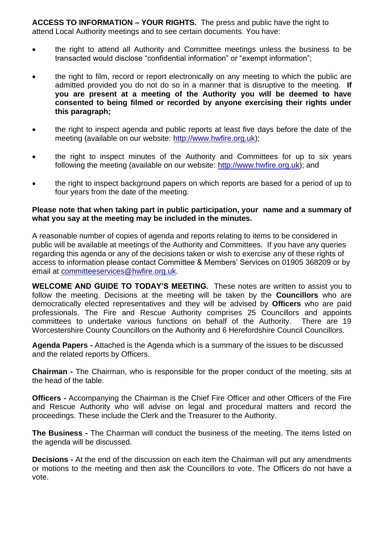**ACCESS TO INFORMATION – YOUR RIGHTS.** The press and public have the right to attend Local Authority meetings and to see certain documents. You have:

- the right to attend all Authority and Committee meetings unless the business to be transacted would disclose "confidential information" or "exempt information";
- the right to film, record or report electronically on any meeting to which the public are admitted provided you do not do so in a manner that is disruptive to the meeting. **If you are present at a meeting of the Authority you will be deemed to have consented to being filmed or recorded by anyone exercising their rights under this paragraph;**
- the right to inspect agenda and public reports at least five days before the date of the meeting (available on our website: [http://www.hwfire.org.uk\)](http://www.hwfire.org.uk/);
- the right to inspect minutes of the Authority and Committees for up to six years following the meeting (available on our website: [http://www.hwfire.org.uk\)](http://www.hwfire.org.uk/); and
- the right to inspect background papers on which reports are based for a period of up to four years from the date of the meeting.

#### **Please note that when taking part in public participation, your name and a summary of what you say at the meeting may be included in the minutes.**

A reasonable number of copies of agenda and reports relating to items to be considered in public will be available at meetings of the Authority and Committees. If you have any queries regarding this agenda or any of the decisions taken or wish to exercise any of these rights of access to information please contact Committee & Members' Services on 01905 368209 or by email at [committeeservices@hwfire.org.uk.](mailto:committeeservices@hwfire.org.uk)

**WELCOME AND GUIDE TO TODAY'S MEETING.** These notes are written to assist you to follow the meeting. Decisions at the meeting will be taken by the **Councillors** who are democratically elected representatives and they will be advised by **Officers** who are paid professionals. The Fire and Rescue Authority comprises 25 Councillors and appoints committees to undertake various functions on behalf of the Authority. There are 19 Worcestershire County Councillors on the Authority and 6 Herefordshire Council Councillors.

**Agenda Papers -** Attached is the Agenda which is a summary of the issues to be discussed and the related reports by Officers.

**Chairman -** The Chairman, who is responsible for the proper conduct of the meeting, sits at the head of the table.

**Officers -** Accompanying the Chairman is the Chief Fire Officer and other Officers of the Fire and Rescue Authority who will advise on legal and procedural matters and record the proceedings. These include the Clerk and the Treasurer to the Authority.

**The Business -** The Chairman will conduct the business of the meeting. The items listed on the agenda will be discussed.

**Decisions -** At the end of the discussion on each item the Chairman will put any amendments or motions to the meeting and then ask the Councillors to vote. The Officers do not have a vote.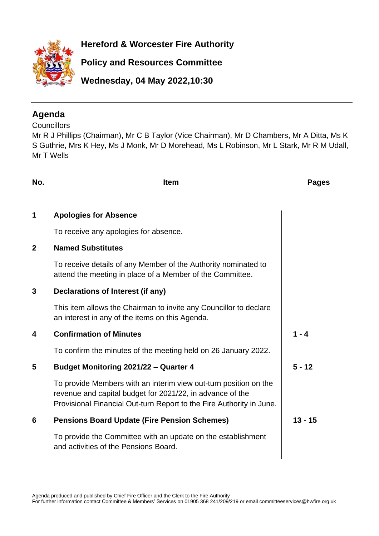

**Hereford & Worcester Fire Authority**

**Policy and Resources Committee**

**Wednesday, 04 May 2022,10:30**

### **Agenda**

**Councillors** 

Mr R J Phillips (Chairman), Mr C B Taylor (Vice Chairman), Mr D Chambers, Mr A Ditta, Ms K S Guthrie, Mrs K Hey, Ms J Monk, Mr D Morehead, Ms L Robinson, Mr L Stark, Mr R M Udall, Mr T Wells

| No.            | <b>Item</b>                                                                                                                                                                                           | <b>Pages</b> |
|----------------|-------------------------------------------------------------------------------------------------------------------------------------------------------------------------------------------------------|--------------|
| 1              | <b>Apologies for Absence</b>                                                                                                                                                                          |              |
|                | To receive any apologies for absence.                                                                                                                                                                 |              |
| $\overline{2}$ | <b>Named Substitutes</b>                                                                                                                                                                              |              |
|                | To receive details of any Member of the Authority nominated to<br>attend the meeting in place of a Member of the Committee.                                                                           |              |
| 3              | Declarations of Interest (if any)                                                                                                                                                                     |              |
|                | This item allows the Chairman to invite any Councillor to declare<br>an interest in any of the items on this Agenda.                                                                                  |              |
| 4              | <b>Confirmation of Minutes</b>                                                                                                                                                                        | $1 - 4$      |
|                | To confirm the minutes of the meeting held on 26 January 2022.                                                                                                                                        |              |
| 5              | Budget Monitoring 2021/22 - Quarter 4                                                                                                                                                                 | $5 - 12$     |
|                | To provide Members with an interim view out-turn position on the<br>revenue and capital budget for 2021/22, in advance of the<br>Provisional Financial Out-turn Report to the Fire Authority in June. |              |
| 6              | <b>Pensions Board Update (Fire Pension Schemes)</b>                                                                                                                                                   | $13 - 15$    |
|                | To provide the Committee with an update on the establishment<br>and activities of the Pensions Board.                                                                                                 |              |
|                |                                                                                                                                                                                                       |              |

Agenda produced and published by Chief Fire Officer and the Clerk to the Fire Authority

For further information contact Committee & Members' Services on 01905 368 241/209/219 or email committeeservices@hwfire.org.uk